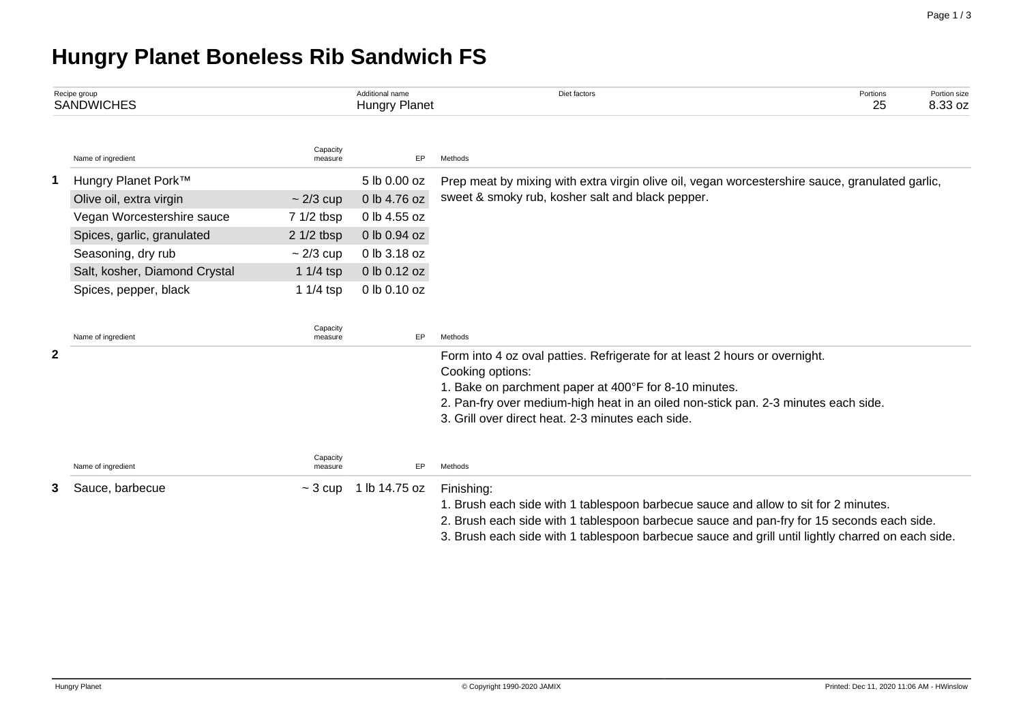# **Hungry Planet Boneless Rib Sandwich FS**

| Recipe group<br><b>SANDWICHES</b> |                               |                     | Additional name<br><b>Hungry Planet</b> | Diet factors                                                                                      | Portions<br>25 | Portion size<br>8.33 oz |  |  |  |
|-----------------------------------|-------------------------------|---------------------|-----------------------------------------|---------------------------------------------------------------------------------------------------|----------------|-------------------------|--|--|--|
|                                   | Name of ingredient            | Capacity<br>measure | EP                                      | Methods                                                                                           |                |                         |  |  |  |
| 1                                 | Hungry Planet Pork™           |                     | 5 lb 0.00 oz                            | Prep meat by mixing with extra virgin olive oil, vegan worcestershire sauce, granulated garlic,   |                |                         |  |  |  |
|                                   | Olive oil, extra virgin       | $\sim$ 2/3 cup      | 0 lb 4.76 oz                            | sweet & smoky rub, kosher salt and black pepper.                                                  |                |                         |  |  |  |
|                                   | Vegan Worcestershire sauce    | 7 1/2 tbsp          | 0 lb 4.55 oz                            |                                                                                                   |                |                         |  |  |  |
|                                   | Spices, garlic, granulated    | $21/2$ tbsp         | 0 lb 0.94 oz                            |                                                                                                   |                |                         |  |  |  |
|                                   | Seasoning, dry rub            | $\sim$ 2/3 cup      | 0 lb 3.18 oz                            |                                                                                                   |                |                         |  |  |  |
|                                   | Salt, kosher, Diamond Crystal | 1 $1/4$ tsp         | 0 lb 0.12 oz                            |                                                                                                   |                |                         |  |  |  |
|                                   | Spices, pepper, black         | 1 $1/4$ tsp         | 0 lb 0.10 oz                            |                                                                                                   |                |                         |  |  |  |
|                                   | Name of ingredient            | Capacity<br>measure | EP                                      | Methods                                                                                           |                |                         |  |  |  |
| $\mathbf{2}$                      |                               |                     |                                         | Form into 4 oz oval patties. Refrigerate for at least 2 hours or overnight.                       |                |                         |  |  |  |
|                                   |                               |                     |                                         | Cooking options:                                                                                  |                |                         |  |  |  |
|                                   |                               |                     |                                         | 1. Bake on parchment paper at 400°F for 8-10 minutes.                                             |                |                         |  |  |  |
|                                   |                               |                     |                                         | 2. Pan-fry over medium-high heat in an oiled non-stick pan. 2-3 minutes each side.                |                |                         |  |  |  |
|                                   |                               |                     |                                         | 3. Grill over direct heat, 2-3 minutes each side.                                                 |                |                         |  |  |  |
|                                   | Name of ingredient            | Capacity<br>measure | EP.                                     | Methods                                                                                           |                |                         |  |  |  |
| 3                                 | Sauce, barbecue               | $\sim$ 3 cup        | 1 lb 14.75 oz                           | Finishing:                                                                                        |                |                         |  |  |  |
|                                   |                               |                     |                                         | 1. Brush each side with 1 tablespoon barbecue sauce and allow to sit for 2 minutes.               |                |                         |  |  |  |
|                                   |                               |                     |                                         | 2. Brush each side with 1 tablespoon barbecue sauce and pan-fry for 15 seconds each side.         |                |                         |  |  |  |
|                                   |                               |                     |                                         | 3. Brush each side with 1 tablespoon barbecue sauce and grill until lightly charred on each side. |                |                         |  |  |  |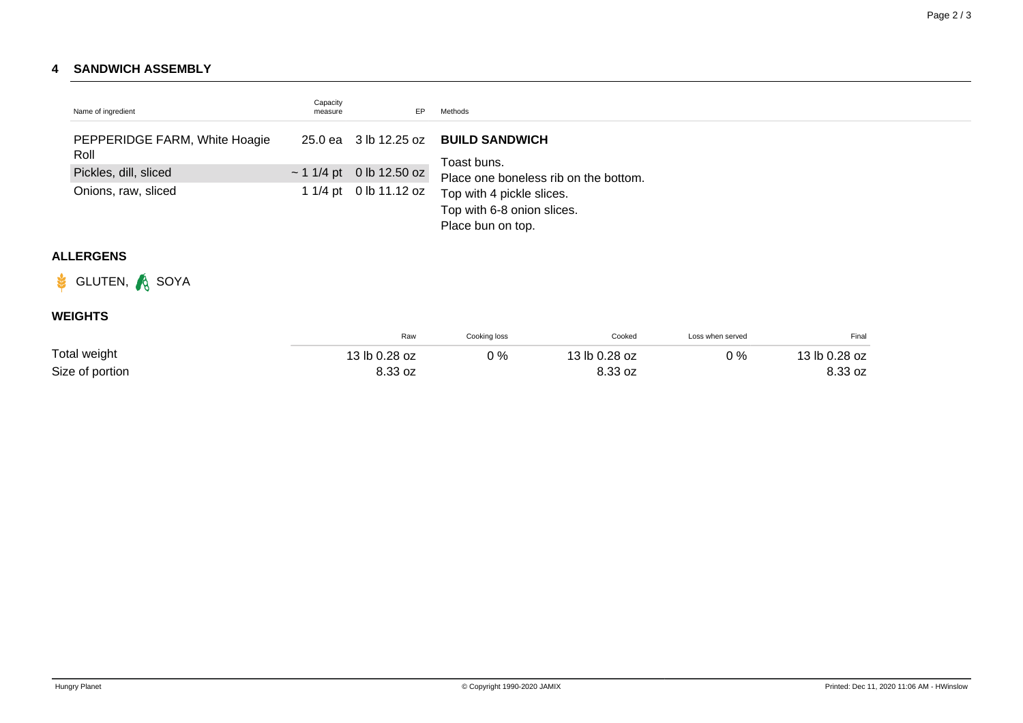#### **4 SANDWICH ASSEMBLY**

| Name of ingredient                    | Capacity<br>measure | EP                            | Methods                                                                      |
|---------------------------------------|---------------------|-------------------------------|------------------------------------------------------------------------------|
| PEPPERIDGE FARM, White Hoagie<br>Roll |                     | 25.0 ea 3 lb 12.25 oz         | <b>BUILD SANDWICH</b><br>Toast buns.                                         |
| Pickles, dill, sliced                 |                     | $\sim$ 1 1/4 pt 0 lb 12.50 oz | Place one boneless rib on the bottom.                                        |
| Onions, raw, sliced                   |                     | 1 1/4 pt 0 lb 11.12 oz        | Top with 4 pickle slices.<br>Top with 6-8 onion slices.<br>Place bun on top. |

## **ALLERGENS**



## **WEIGHTS**

|                 | Raw           | Cooking loss | Cooked        | Loss when served | Final         |
|-----------------|---------------|--------------|---------------|------------------|---------------|
| Total weight    | 13 lb 0.28 oz | 0%           | 13 lb 0.28 oz | 0%               | 13 lb 0.28 oz |
| Size of portion | 8.33 oz       |              | 8.33 oz       |                  | 8.33 oz       |